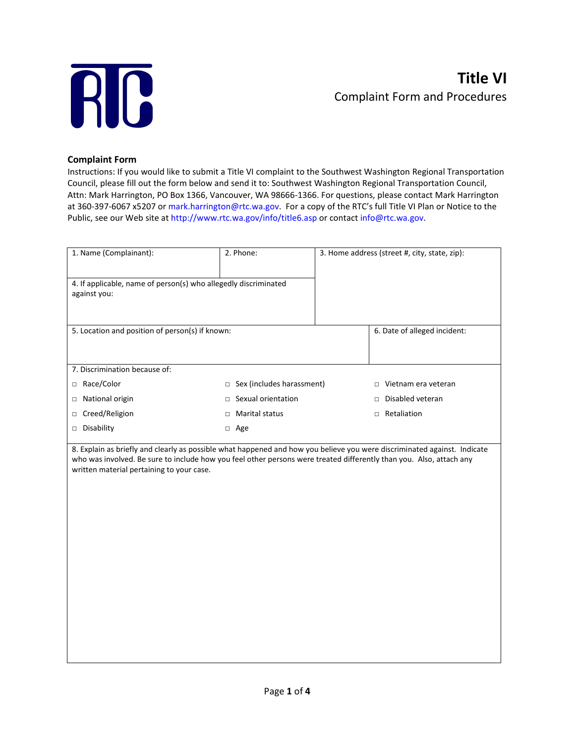

## **Complaint Form**

Instructions: If you would like to submit a Title VI complaint to the Southwest Washington Regional Transportation Council, please fill out the form below and send it to: Southwest Washington Regional Transportation Council, Attn: Mark Harrington, PO Box 1366, Vancouver, WA 98666-1366. For questions, please contact Mark Harrington at 360-397-6067 x5207 or mark.harrington@rtc.wa.gov. For a copy of the RTC's full Title VI Plan or Notice to the Public, see our Web site at http://www.rtc.wa.gov/info/title6.asp or contact info@rtc.wa.gov.

| 1. Name (Complainant):                                                          | 2. Phone:                           | 3. Home address (street #, city, state, zip): |  |
|---------------------------------------------------------------------------------|-------------------------------------|-----------------------------------------------|--|
| 4. If applicable, name of person(s) who allegedly discriminated<br>against you: |                                     |                                               |  |
| 5. Location and position of person(s) if known:                                 |                                     | 6. Date of alleged incident:                  |  |
| 7. Discrimination because of:                                                   |                                     |                                               |  |
| Race/Color<br>$\Box$                                                            | Sex (includes harassment)<br>$\Box$ | Vietnam era veteran<br>$\Box$                 |  |
| National origin<br>$\Box$                                                       | Sexual orientation<br>$\Box$        | Disabled veteran<br>$\Box$                    |  |
| Creed/Religion<br>$\Box$                                                        | <b>Marital status</b><br>□          | Retaliation<br>$\Box$                         |  |
| Disability<br>$\Box$                                                            | Age<br>$\Box$                       |                                               |  |

8. Explain as briefly and clearly as possible what happened and how you believe you were discriminated against. Indicate who was involved. Be sure to include how you feel other persons were treated differently than you. Also, attach any written material pertaining to your case.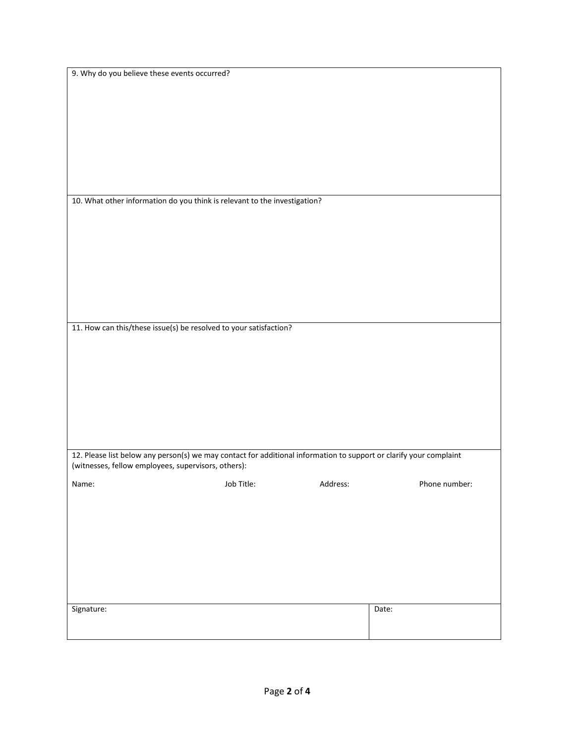| 9. Why do you believe these events occurred?                                                                                                                              |            |          |                     |  |  |
|---------------------------------------------------------------------------------------------------------------------------------------------------------------------------|------------|----------|---------------------|--|--|
|                                                                                                                                                                           |            |          |                     |  |  |
|                                                                                                                                                                           |            |          |                     |  |  |
|                                                                                                                                                                           |            |          |                     |  |  |
|                                                                                                                                                                           |            |          |                     |  |  |
|                                                                                                                                                                           |            |          |                     |  |  |
|                                                                                                                                                                           |            |          |                     |  |  |
|                                                                                                                                                                           |            |          |                     |  |  |
|                                                                                                                                                                           |            |          |                     |  |  |
|                                                                                                                                                                           |            |          |                     |  |  |
|                                                                                                                                                                           |            |          |                     |  |  |
|                                                                                                                                                                           |            |          |                     |  |  |
|                                                                                                                                                                           |            |          |                     |  |  |
|                                                                                                                                                                           |            |          |                     |  |  |
| 10. What other information do you think is relevant to the investigation?                                                                                                 |            |          |                     |  |  |
|                                                                                                                                                                           |            |          |                     |  |  |
|                                                                                                                                                                           |            |          |                     |  |  |
|                                                                                                                                                                           |            |          |                     |  |  |
|                                                                                                                                                                           |            |          |                     |  |  |
|                                                                                                                                                                           |            |          |                     |  |  |
|                                                                                                                                                                           |            |          |                     |  |  |
|                                                                                                                                                                           |            |          |                     |  |  |
|                                                                                                                                                                           |            |          |                     |  |  |
|                                                                                                                                                                           |            |          |                     |  |  |
|                                                                                                                                                                           |            |          |                     |  |  |
|                                                                                                                                                                           |            |          |                     |  |  |
|                                                                                                                                                                           |            |          |                     |  |  |
|                                                                                                                                                                           |            |          |                     |  |  |
| 11. How can this/these issue(s) be resolved to your satisfaction?                                                                                                         |            |          |                     |  |  |
|                                                                                                                                                                           |            |          |                     |  |  |
|                                                                                                                                                                           |            |          |                     |  |  |
|                                                                                                                                                                           |            |          |                     |  |  |
|                                                                                                                                                                           |            |          |                     |  |  |
|                                                                                                                                                                           |            |          |                     |  |  |
|                                                                                                                                                                           |            |          |                     |  |  |
|                                                                                                                                                                           |            |          |                     |  |  |
|                                                                                                                                                                           |            |          |                     |  |  |
|                                                                                                                                                                           |            |          |                     |  |  |
|                                                                                                                                                                           |            |          |                     |  |  |
|                                                                                                                                                                           |            |          |                     |  |  |
|                                                                                                                                                                           |            |          |                     |  |  |
|                                                                                                                                                                           |            |          |                     |  |  |
|                                                                                                                                                                           |            |          |                     |  |  |
| 12. Please list below any person(s) we may contact for additional information to support or clarify your complaint<br>(witnesses, fellow employees, supervisors, others): |            |          |                     |  |  |
|                                                                                                                                                                           |            |          |                     |  |  |
|                                                                                                                                                                           | Job Title: |          | Phone number:       |  |  |
| Name:                                                                                                                                                                     |            | Address: |                     |  |  |
|                                                                                                                                                                           |            |          |                     |  |  |
|                                                                                                                                                                           |            |          |                     |  |  |
|                                                                                                                                                                           |            |          |                     |  |  |
|                                                                                                                                                                           |            |          |                     |  |  |
|                                                                                                                                                                           |            |          |                     |  |  |
|                                                                                                                                                                           |            |          |                     |  |  |
|                                                                                                                                                                           |            |          |                     |  |  |
|                                                                                                                                                                           |            |          |                     |  |  |
|                                                                                                                                                                           |            |          |                     |  |  |
|                                                                                                                                                                           |            |          |                     |  |  |
|                                                                                                                                                                           |            |          |                     |  |  |
|                                                                                                                                                                           |            |          |                     |  |  |
| Signature:                                                                                                                                                                |            |          | $\overline{Date}$ : |  |  |
|                                                                                                                                                                           |            |          |                     |  |  |
|                                                                                                                                                                           |            |          |                     |  |  |
|                                                                                                                                                                           |            |          |                     |  |  |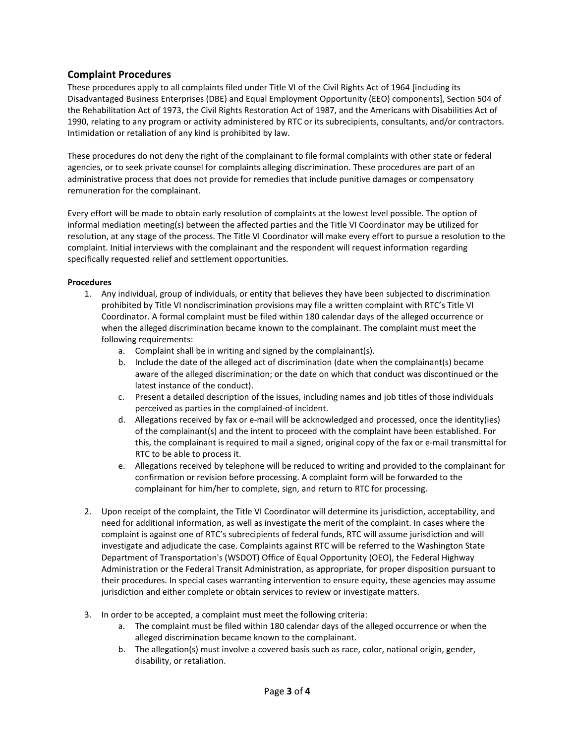## **Complaint Procedures**

These procedures apply to all complaints filed under Title VI of the Civil Rights Act of 1964 [including its Disadvantaged Business Enterprises (DBE) and Equal Employment Opportunity (EEO) components], Section 504 of the Rehabilitation Act of 1973, the Civil Rights Restoration Act of 1987, and the Americans with Disabilities Act of 1990, relating to any program or activity administered by RTC or its subrecipients, consultants, and/or contractors. Intimidation or retaliation of any kind is prohibited by law.

These procedures do not deny the right of the complainant to file formal complaints with other state or federal agencies, or to seek private counsel for complaints alleging discrimination. These procedures are part of an administrative process that does not provide for remedies that include punitive damages or compensatory remuneration for the complainant.

Every effort will be made to obtain early resolution of complaints at the lowest level possible. The option of informal mediation meeting(s) between the affected parties and the Title VI Coordinator may be utilized for resolution, at any stage of the process. The Title VI Coordinator will make every effort to pursue a resolution to the complaint. Initial interviews with the complainant and the respondent will request information regarding specifically requested relief and settlement opportunities.

## **Procedures**

- 1. Any individual, group of individuals, or entity that believes they have been subjected to discrimination prohibited by Title VI nondiscrimination provisions may file a written complaint with RTC's Title VI Coordinator. A formal complaint must be filed within 180 calendar days of the alleged occurrence or when the alleged discrimination became known to the complainant. The complaint must meet the following requirements:
	- a. Complaint shall be in writing and signed by the complainant(s).
	- b. Include the date of the alleged act of discrimination (date when the complainant(s) became aware of the alleged discrimination; or the date on which that conduct was discontinued or the latest instance of the conduct).
	- c. Present a detailed description of the issues, including names and job titles of those individuals perceived as parties in the complained-of incident.
	- d. Allegations received by fax or e-mail will be acknowledged and processed, once the identity(ies) of the complainant(s) and the intent to proceed with the complaint have been established. For this, the complainant is required to mail a signed, original copy of the fax or e-mail transmittal for RTC to be able to process it.
	- e. Allegations received by telephone will be reduced to writing and provided to the complainant for confirmation or revision before processing. A complaint form will be forwarded to the complainant for him/her to complete, sign, and return to RTC for processing.
- 2. Upon receipt of the complaint, the Title VI Coordinator will determine its jurisdiction, acceptability, and need for additional information, as well as investigate the merit of the complaint. In cases where the complaint is against one of RTC's subrecipients of federal funds, RTC will assume jurisdiction and will investigate and adjudicate the case. Complaints against RTC will be referred to the Washington State Department of Transportation's (WSDOT) Office of Equal Opportunity (OEO), the Federal Highway Administration or the Federal Transit Administration, as appropriate, for proper disposition pursuant to their procedures. In special cases warranting intervention to ensure equity, these agencies may assume jurisdiction and either complete or obtain services to review or investigate matters.
- 3. In order to be accepted, a complaint must meet the following criteria:
	- a. The complaint must be filed within 180 calendar days of the alleged occurrence or when the alleged discrimination became known to the complainant.
	- b. The allegation(s) must involve a covered basis such as race, color, national origin, gender, disability, or retaliation.